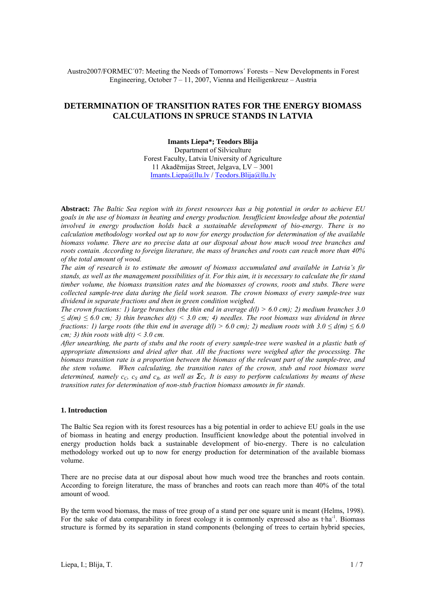Austro2007/FORMEC´07: Meeting the Needs of Tomorrows´ Forests – New Developments in Forest Engineering, October 7 – 11, 2007, Vienna and Heiligenkreuz – Austria

# **DETERMINATION OF TRANSITION RATES FOR THE ENERGY BIOMASS CALCULATIONS IN SPRUCE STANDS IN LATVIA**

**Imants Liepa\*; Teodors Blija**  Department of Silviculture Forest Faculty, Latvia University of Agriculture 11 Akadēmijas Street, Jelgava, LV – 3001 Imants.Liepa@llu.lv / Teodors.Blija@llu.lv

**Abstract:** *The Baltic Sea region with its forest resources has a big potential in order to achieve EU goals in the use of biomass in heating and energy production. Insufficient knowledge about the potential involved in energy production holds back a sustainable development of bio-energy. There is no calculation methodology worked out up to now for energy production for determination of the available biomass volume. There are no precise data at our disposal about how much wood tree branches and roots contain. According to foreign literature, the mass of branches and roots can reach more than 40% of the total amount of wood.* 

*The aim of research is to estimate the amount of biomass accumulated and available in Latvia's fir stands, as well as the management possibilities of it. For this aim, it is necessary to calculate the fir stand timber volume, the biomass transition rates and the biomasses of crowns, roots and stubs. There were collected sample-tree data during the field work season. The crown biomass of every sample-tree was dividend in separate fractions and then in green condition weighed.* 

*The crown fractions: 1) large branches (the thin end in average d(l) > 6.0 cm); 2) medium branches 3.0 ≤ d(m) ≤ 6.0 cm; 3) thin branches d(t) < 3.0 cm; 4) needles. The root biomass was dividend in three fractions: 1) large roots (the thin end in average*  $d(l)$  *> 6.0 cm); 2) medium roots with*  $3.0 \le d(m) \le 6.0$ *cm; 3) thin roots with*  $d(t) < 3.0$  *cm.* 

*After unearthing, the parts of stubs and the roots of every sample-tree were washed in a plastic bath of appropriate dimensions and dried after that. All the fractions were weighed after the processing. The biomass transition rate is a proportion between the biomass of the relevant part of the sample-tree, and the stem volume. When calculating, the transition rates of the crown, stub and root biomass were determined, namely c<sub>C</sub>, c<sub>S</sub> and c<sub>R</sub>, as well as*  $\Sigma c_i$ *. It is easy to perform calculations by means of these transition rates for determination of non-stub fraction biomass amounts in fir stands.* 

#### **1. Introduction**

The Baltic Sea region with its forest resources has a big potential in order to achieve EU goals in the use of biomass in heating and energy production. Insufficient knowledge about the potential involved in energy production holds back a sustainable development of bio-energy. There is no calculation methodology worked out up to now for energy production for determination of the available biomass volume.

There are no precise data at our disposal about how much wood tree the branches and roots contain. According to foreign literature, the mass of branches and roots can reach more than 40% of the total amount of wood.

By the term wood biomass, the mass of tree group of a stand per one square unit is meant (Helms, 1998). For the sake of data comparability in forest ecology it is commonly expressed also as  $t \cdot ha^{-1}$ . Biomass structure is formed by its separation in stand components (belonging of trees to certain hybrid species,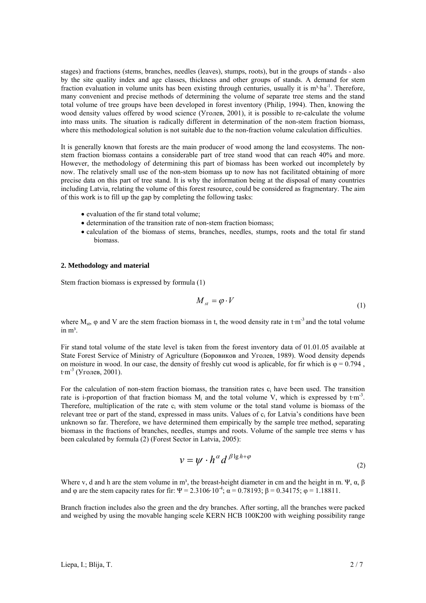stages) and fractions (stems, branches, needles (leaves), stumps, roots), but in the groups of stands - also by the site quality index and age classes, thickness and other groups of stands. A demand for stem fraction evaluation in volume units has been existing through centuries, usually it is  $m<sup>3</sup>·ha<sup>-1</sup>$ . Therefore, many convenient and precise methods of determining the volume of separate tree stems and the stand total volume of tree groups have been developed in forest inventory (Philip, 1994). Then, knowing the wood density values offered by wood science (Уголев, 2001), it is possible to re-calculate the volume into mass units. The situation is radically different in determination of the non-stem fraction biomass, where this methodological solution is not suitable due to the non-fraction volume calculation difficulties.

It is generally known that forests are the main producer of wood among the land ecosystems. The nonstem fraction biomass contains a considerable part of tree stand wood that can reach 40% and more. However, the methodology of determining this part of biomass has been worked out incompletely by now. The relatively small use of the non-stem biomass up to now has not facilitated obtaining of more precise data on this part of tree stand. It is why the information being at the disposal of many countries including Latvia, relating the volume of this forest resource, could be considered as fragmentary. The aim of this work is to fill up the gap by completing the following tasks:

- evaluation of the fir stand total volume:
- determination of the transition rate of non-stem fraction biomass;
- calculation of the biomass of stems, branches, needles, stumps, roots and the total fir stand biomass.

#### **2. Methodology and material**

Stem fraction biomass is expressed by formula (1)

$$
M_{st} = \varphi \cdot V \tag{1}
$$

where  $M_{st}$ ,  $\varphi$  and V are the stem fraction biomass in t, the wood density rate in t·m<sup>-3</sup> and the total volume in  $m^3$ .

Fir stand total volume of the state level is taken from the forest inventory data of 01.01.05 available at State Forest Service of Ministry of Agriculture (Боровиков and Уголев, 1989). Wood density depends on moisture in wood. In our case, the density of freshly cut wood is aplicable, for fir which is  $\varphi = 0.794$ . t·m-3 (Уголев, 2001).

For the calculation of non-stem fraction biomass, the transition rates  $c_i$  have been used. The transition rate is i-proportion of that fraction biomass  $M_i$  and the total volume V, which is expressed by  $t \cdot m^3$ . Therefore, multiplication of the rate  $c_i$  with stem volume or the total stand volume is biomass of the relevant tree or part of the stand, expressed in mass units. Values of  $c_i$  for Latvia's conditions have been unknown so far. Therefore, we have determined them empirically by the sample tree method, separating biomass in the fractions of branches, needles, stumps and roots. Volume of the sample tree stems v has been calculated by formula (2) (Forest Sector in Latvia, 2005):

$$
v = \psi \cdot h^{\alpha} d^{\beta \lg h + \varphi} \tag{2}
$$

Where v, d and h are the stem volume in m<sup>3</sup>, the breast-height diameter in cm and the height in m. Ψ,  $\alpha$ ,  $\beta$ and φ are the stem capacity rates for fir:  $\Psi = 2.3106 \cdot 10^{-4}$ ;  $\alpha = 0.78193$ ;  $\beta = 0.34175$ ;  $\phi = 1.18811$ .

Branch fraction includes also the green and the dry branches. After sorting, all the branches were packed and weighed by using the movable hanging scele KERN HCB 100K200 with weighing possibility range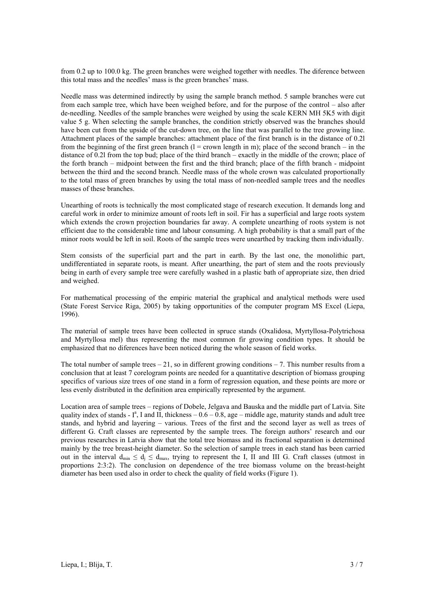from 0.2 up to 100.0 kg. The green branches were weighed together with needles. The diference between this total mass and the needles' mass is the green branches' mass.

Needle mass was determined indirectly by using the sample branch method. 5 sample branches were cut from each sample tree, which have been weighed before, and for the purpose of the control – also after de-needling. Needles of the sample branches were weighed by using the scale KERN MH 5K5 with digit value 5 g. When selecting the sample branches, the condition strictly observed was the branches should have been cut from the upside of the cut-down tree, on the line that was parallel to the tree growing line. Attachment places of the sample branches: attachment place of the first branch is in the distance of 0.2l from the beginning of the first green branch  $(l =$  crown length in m); place of the second branch – in the distance of 0.2l from the top bud; place of the third branch – exactly in the middle of the crown; place of the forth branch – midpoint between the first and the third branch; place of the fifth branch - midpoint between the third and the second branch. Needle mass of the whole crown was calculated proportionally to the total mass of green branches by using the total mass of non-needled sample trees and the needles masses of these branches.

Unearthing of roots is technically the most complicated stage of research execution. It demands long and careful work in order to minimize amount of roots left in soil. Fir has a superficial and large roots system which extends the crown projection boundaries far away. A complete unearthing of roots system is not efficient due to the considerable time and labour consuming. A high probability is that a small part of the minor roots would be left in soil. Roots of the sample trees were unearthed by tracking them individually.

Stem consists of the superficial part and the part in earth. By the last one, the monolithic part, undifferentiated in separate roots, is meant. After unearthing, the part of stem and the roots previously being in earth of every sample tree were carefully washed in a plastic bath of appropriate size, then dried and weighed.

For mathematical processing of the empiric material the graphical and analytical methods were used (State Forest Service Riga, 2005) by taking opportunities of the computer program MS Excel (Liepa, 1996).

The material of sample trees have been collected in spruce stands (Oxalidosa, Myrtyllosa-Polytrichosa and Myrtyllosa mel) thus representing the most common fir growing condition types. It should be emphasized that no diferences have been noticed during the whole season of field works.

The total number of sample trees  $-21$ , so in different growing conditions  $-7$ . This number results from a conclusion that at least 7 corelogram points are needed for a quantitative description of biomass grouping specifics of various size trees of one stand in a form of regression equation, and these points are more or less evenly distributed in the definition area empirically represented by the argument.

Location area of sample trees – regions of Dobele, Jelgava and Bauska and the middle part of Latvia. Site quality index of stands -  $I^a$ , I and II, thickness – 0.6 – 0.8, age – middle age, maturity stands and adult tree stands, and hybrid and layering – various. Trees of the first and the second layer as well as trees of different G. Craft classes are represented by the sample trees. The foreign authors' research and our previous researches in Latvia show that the total tree biomass and its fractional separation is determined mainly by the tree breast-height diameter. So the selection of sample trees in each stand has been carried out in the interval  $d_{min} \leq d_i \leq d_{max}$ , trying to represent the I, II and III G. Craft classes (utmost in proportions 2:3:2). The conclusion on dependence of the tree biomass volume on the breast-height diameter has been used also in order to check the quality of field works (Figure 1).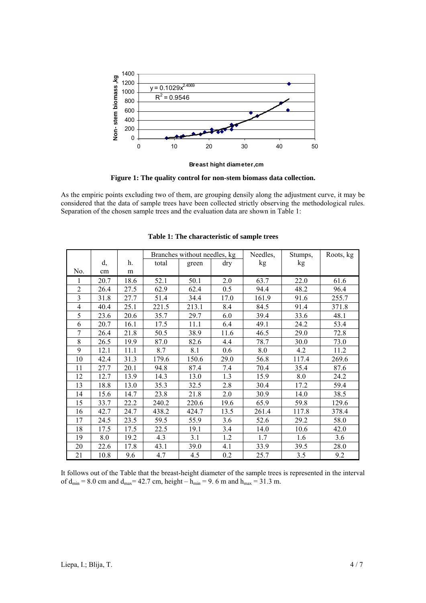

**Breast hight diameter,cm**

**Figure 1: The quality control for non-stem biomass data collection.** 

As the empiric points excluding two of them, are grouping densily along the adjustment curve, it may be considered that the data of sample trees have been collected strictly observing the methodological rules. Separation of the chosen sample trees and the evaluation data are shown in Table 1:

|                |      |      | Branches without needles, kg |       |      | Needles, | Stumps, | Roots, kg |
|----------------|------|------|------------------------------|-------|------|----------|---------|-----------|
|                | d,   | h.   | total                        | green | dry  | kg       | kg      |           |
| No.            | cm   | m    |                              |       |      |          |         |           |
|                | 20.7 | 18.6 | 52.1                         | 50.1  | 2.0  | 63.7     | 22.0    | 61.6      |
| $\overline{2}$ | 26.4 | 27.5 | 62.9                         | 62.4  | 0.5  | 94.4     | 48.2    | 96.4      |
| 3              | 31.8 | 27.7 | 51.4                         | 34.4  | 17.0 | 161.9    | 91.6    | 255.7     |
| 4              | 40.4 | 25.1 | 221.5                        | 213.1 | 8.4  | 84.5     | 91.4    | 371.8     |
| 5              | 23.6 | 20.6 | 35.7                         | 29.7  | 6.0  | 39.4     | 33.6    | 48.1      |
| 6              | 20.7 | 16.1 | 17.5                         | 11.1  | 6.4  | 49.1     | 24.2    | 53.4      |
| 7              | 26.4 | 21.8 | 50.5                         | 38.9  | 11.6 | 46.5     | 29.0    | 72.8      |
| 8              | 26.5 | 19.9 | 87.0                         | 82.6  | 4.4  | 78.7     | 30.0    | 73.0      |
| 9              | 12.1 | 11.1 | 8.7                          | 8.1   | 0.6  | 8.0      | 4.2     | 11.2      |
| 10             | 42.4 | 31.3 | 179.6                        | 150.6 | 29.0 | 56.8     | 117.4   | 269.6     |
| 11             | 27.7 | 20.1 | 94.8                         | 87.4  | 7.4  | 70.4     | 35.4    | 87.6      |
| 12             | 12.7 | 13.9 | 14.3                         | 13.0  | 1.3  | 15.9     | 8.0     | 24.2      |
| 13             | 18.8 | 13.0 | 35.3                         | 32.5  | 2.8  | 30.4     | 17.2    | 59.4      |
| 14             | 15.6 | 14.7 | 23.8                         | 21.8  | 2.0  | 30.9     | 14.0    | 38.5      |
| 15             | 33.7 | 22.2 | 240.2                        | 220.6 | 19.6 | 65.9     | 59.8    | 129.6     |
| 16             | 42.7 | 24.7 | 438.2                        | 424.7 | 13.5 | 261.4    | 117.8   | 378.4     |
| 17             | 24.5 | 23.5 | 59.5                         | 55.9  | 3.6  | 52.6     | 29.2    | 58.0      |
| 18             | 17.5 | 17.5 | 22.5                         | 19.1  | 3.4  | 14.0     | 10.6    | 42.0      |
| 19             | 8.0  | 19.2 | 4.3                          | 3.1   | 1.2  | 1.7      | 1.6     | 3.6       |
| 20             | 22.6 | 17.8 | 43.1                         | 39.0  | 4.1  | 33.9     | 39.5    | 28.0      |
| 21             | 10.8 | 9.6  | 4.7                          | 4.5   | 0.2  | 25.7     | 3.5     | 9.2       |

**Table 1: The characteristic of sample trees** 

It follows out of the Table that the breast-height diameter of the sample trees is represented in the interval of  $d_{\text{min}} = 8.0$  cm and  $d_{\text{max}} = 42.7$  cm, height –  $\bar{h}_{\text{min}} = 9.6$  m and  $h_{\text{max}} = 31.3$  m.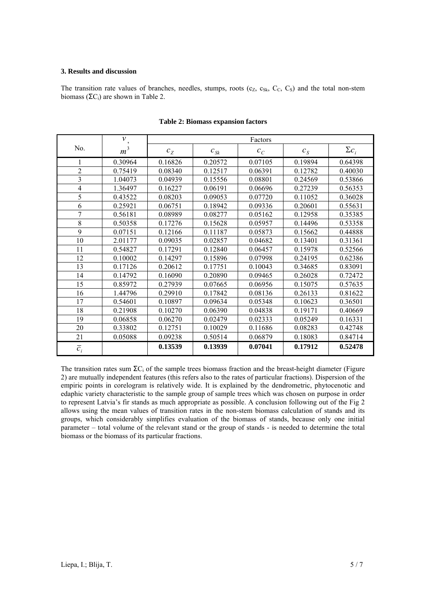## **3. Results and discussion**

The transition rate values of branches, needles, stumps, roots  $(c_Z, c_{Sk}, C_C, C_S)$  and the total non-stem biomass ( $\Sigma$ C<sub>i</sub>) are shown in Table 2.

|                  | $\mathcal{V}$  | Factors |                                |         |         |              |  |  |
|------------------|----------------|---------|--------------------------------|---------|---------|--------------|--|--|
| No.              | m <sup>3</sup> | $c_{Z}$ | $c_{\scriptscriptstyle Sk}^{}$ | $c_{C}$ | $c_{S}$ | $\Sigma c_i$ |  |  |
|                  | 0.30964        | 0.16826 | 0.20572                        | 0.07105 | 0.19894 | 0.64398      |  |  |
| $\overline{2}$   | 0.75419        | 0.08340 | 0.12517                        | 0.06391 | 0.12782 | 0.40030      |  |  |
| 3                | 1.04073        | 0.04939 | 0.15556                        | 0.08801 | 0.24569 | 0.53866      |  |  |
| $\overline{4}$   | 1.36497        | 0.16227 | 0.06191                        | 0.06696 | 0.27239 | 0.56353      |  |  |
| 5                | 0.43522        | 0.08203 | 0.09053                        | 0.07720 | 0.11052 | 0.36028      |  |  |
| 6                | 0.25921        | 0.06751 | 0.18942                        | 0.09336 | 0.20601 | 0.55631      |  |  |
| 7                | 0.56181        | 0.08989 | 0.08277                        | 0.05162 | 0.12958 | 0.35385      |  |  |
| 8                | 0.50358        | 0.17276 | 0.15628                        | 0.05957 | 0.14496 | 0.53358      |  |  |
| 9                | 0.07151        | 0.12166 | 0.11187                        | 0.05873 | 0.15662 | 0.44888      |  |  |
| 10               | 2.01177        | 0.09035 | 0.02857                        | 0.04682 | 0.13401 | 0.31361      |  |  |
| 11               | 0.54827        | 0.17291 | 0.12840                        | 0.06457 | 0.15978 | 0.52566      |  |  |
| 12               | 0.10002        | 0.14297 | 0.15896                        | 0.07998 | 0.24195 | 0.62386      |  |  |
| 13               | 0.17126        | 0.20612 | 0.17751                        | 0.10043 | 0.34685 | 0.83091      |  |  |
| 14               | 0.14792        | 0.16090 | 0.20890                        | 0.09465 | 0.26028 | 0.72472      |  |  |
| 15               | 0.85972        | 0.27939 | 0.07665                        | 0.06956 | 0.15075 | 0.57635      |  |  |
| 16               | 1.44796        | 0.29910 | 0.17842                        | 0.08136 | 0.26133 | 0.81622      |  |  |
| 17               | 0.54601        | 0.10897 | 0.09634                        | 0.05348 | 0.10623 | 0.36501      |  |  |
| 18               | 0.21908        | 0.10270 | 0.06390                        | 0.04838 | 0.19171 | 0.40669      |  |  |
| 19               | 0.06858        | 0.06270 | 0.02479                        | 0.02333 | 0.05249 | 0.16331      |  |  |
| 20               | 0.33802        | 0.12751 | 0.10029                        | 0.11686 | 0.08283 | 0.42748      |  |  |
| 21               | 0.05088        | 0.09238 | 0.50514                        | 0.06879 | 0.18083 | 0.84714      |  |  |
| $\overline{c}_i$ |                | 0.13539 | 0.13939                        | 0.07041 | 0.17912 | 0.52478      |  |  |

**Table 2: Biomass expansion factors** 

The transition rates sum  $\Sigma C_i$  of the sample trees biomass fraction and the breast-height diameter (Figure 2) are mutually independent features (this refers also to the rates of particular fractions). Dispersion of the empiric points in corelogram is relatively wide. It is explained by the dendrometric, phytocenotic and edaphic variety characteristic to the sample group of sample trees which was chosen on purpose in order to represent Latvia's fir stands as much appropriate as possible. A conclusion following out of the Fig 2 allows using the mean values of transition rates in the non-stem biomass calculation of stands and its groups, which considerably simplifies evaluation of the biomass of stands, because only one initial parameter – total volume of the relevant stand or the group of stands - is needed to determine the total biomass or the biomass of its particular fractions.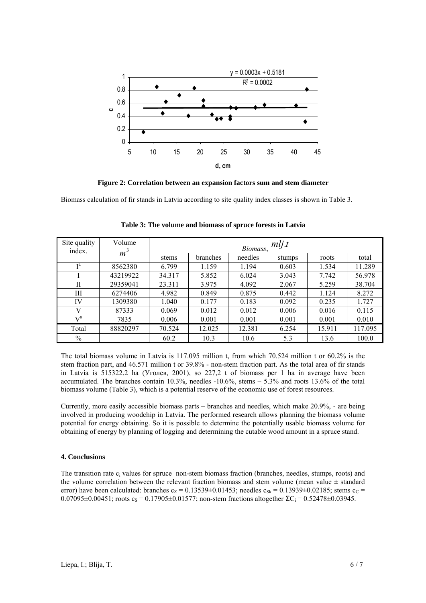

**Figure 2: Correlation between an expansion factors sum and stem diameter** 

Biomass calculation of fir stands in Latvia according to site quality index classes is shown in Table 3.

| Site quality<br>index. | Volume<br>m <sup>3</sup> | mlj.t<br>Biomass, |          |         |        |        |         |  |
|------------------------|--------------------------|-------------------|----------|---------|--------|--------|---------|--|
|                        |                          | stems             | branches | needles | stumps | roots  | total   |  |
| Ta                     | 8562380                  | 6.799             | 1.159    | 1.194   | 0.603  | 1.534  | 11.289  |  |
|                        | 43219922                 | 34.317            | 5.852    | 6.024   | 3.043  | 7.742  | 56.978  |  |
| $_{\rm II}$            | 29359041                 | 23.311            | 3.975    | 4.092   | 2.067  | 5.259  | 38.704  |  |
| Ш                      | 6274406                  | 4.982             | 0.849    | 0.875   | 0.442  | 1.124  | 8.272   |  |
| IV                     | 1309380                  | 1.040             | 0.177    | 0.183   | 0.092  | 0.235  | 1.727   |  |
| V                      | 87333                    | 0.069             | 0.012    | 0.012   | 0.006  | 0.016  | 0.115   |  |
| $V^a$                  | 7835                     | 0.006             | 0.001    | 0.001   | 0.001  | 0.001  | 0.010   |  |
| Total                  | 88820297                 | 70.524            | 12.025   | 12.381  | 6.254  | 15.911 | 117.095 |  |
| $\%$                   |                          | 60.2              | 10.3     | 10.6    | 5.3    | 13.6   | 100.0   |  |

**Table 3: The volume and biomass of spruce forests in Latvia** 

The total biomass volume in Latvia is 117.095 million t, from which 70.524 million t or 60.2% is the stem fraction part, and 46.571 million t or 39.8% - non-stem fraction part. As the total area of fir stands in Latvia is 515322.2 ha (Уголев, 2001), so 227,2 t of biomass per 1 ha in average have been accumulated. The branches contain 10.3%, needles -10.6%, stems – 5.3% and roots 13.6% of the total biomass volume (Table 3), which is a potential reserve of the economic use of forest resources.

Currently, more easily accessible biomass parts – branches and needles, which make 20.9%, - are being involved in producing woodchip in Latvia. The performed research allows planning the biomass volume potential for energy obtaining. So it is possible to determine the potentially usable biomass volume for obtaining of energy by planning of logging and determining the cutable wood amount in a spruce stand.

## **4. Conclusions**

The transition rate c<sub>i</sub> values for spruce non-stem biomass fraction (branches, needles, stumps, roots) and the volume correlation between the relevant fraction biomass and stem volume (mean value  $\pm$  standard error) have been calculated: branches  $c_z = 0.13539 \pm 0.01453$ ; needles  $c_{Sk} = 0.13939 \pm 0.02185$ ; stems  $c_c$  =  $0.07095\pm0.00451$ ; roots c<sub>S</sub> = 0.17905 $\pm$ 0.01577; non-stem fractions altogether  $\Sigma$ C<sub>i</sub> = 0.52478 $\pm$ 0.03945.